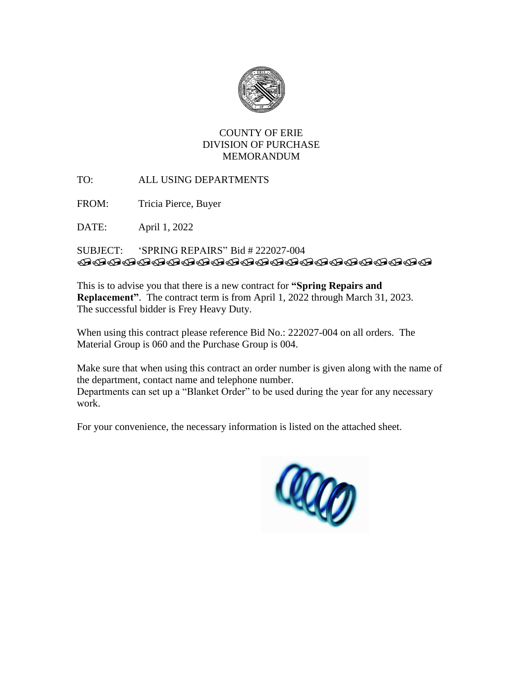

# COUNTY OF ERIE DIVISION OF PURCHASE MEMORANDUM

TO: ALL USING DEPARTMENTS

FROM: Tricia Pierce, Buyer

DATE: April 1, 2022

## SUBJECT: 'SPRING REPAIRS" Bid # 222027-004 **TRADAHARADAHARADAHARADA**

This is to advise you that there is a new contract for **"Spring Repairs and Replacement"**. The contract term is from April 1, 2022 through March 31, 2023. The successful bidder is Frey Heavy Duty.

When using this contract please reference Bid No.: 222027-004 on all orders. The Material Group is 060 and the Purchase Group is 004.

Make sure that when using this contract an order number is given along with the name of the department, contact name and telephone number.

Departments can set up a "Blanket Order" to be used during the year for any necessary work.

For your convenience, the necessary information is listed on the attached sheet.